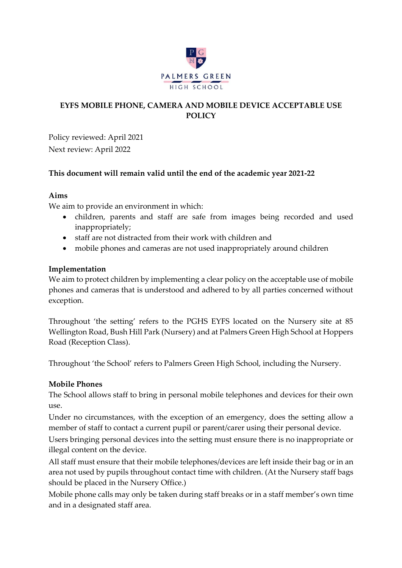

# **EYFS MOBILE PHONE, CAMERA AND MOBILE DEVICE ACCEPTABLE USE POLICY**

Policy reviewed: April 2021 Next review: April 2022

## **This document will remain valid until the end of the academic year 2021-22**

### **Aims**

We aim to provide an environment in which:

- children, parents and staff are safe from images being recorded and used inappropriately;
- staff are not distracted from their work with children and
- mobile phones and cameras are not used inappropriately around children

### **Implementation**

We aim to protect children by implementing a clear policy on the acceptable use of mobile phones and cameras that is understood and adhered to by all parties concerned without exception.

Throughout 'the setting' refers to the PGHS EYFS located on the Nursery site at 85 Wellington Road, Bush Hill Park (Nursery) and at Palmers Green High School at Hoppers Road (Reception Class).

Throughout 'the School' refers to Palmers Green High School, including the Nursery.

## **Mobile Phones**

The School allows staff to bring in personal mobile telephones and devices for their own use.

Under no circumstances, with the exception of an emergency, does the setting allow a member of staff to contact a current pupil or parent/carer using their personal device.

Users bringing personal devices into the setting must ensure there is no inappropriate or illegal content on the device.

All staff must ensure that their mobile telephones/devices are left inside their bag or in an area not used by pupils throughout contact time with children. (At the Nursery staff bags should be placed in the Nursery Office.)

Mobile phone calls may only be taken during staff breaks or in a staff member's own time and in a designated staff area.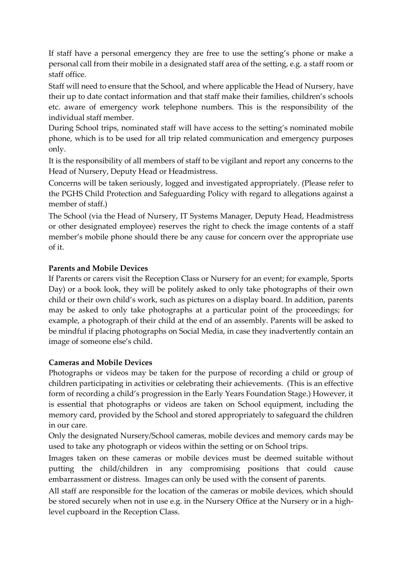If staff have a personal emergency they are free to use the setting's phone or make a personal call from their mobile in a designated staff area of the setting, e.g. a staff room or staff office.

Staff will need to ensure that the School, and where applicable the Head of Nursery, have their up to date contact information and that staff make their families, children's schools etc. aware of emergency work telephone numbers. This is the responsibility of the individual staff member.

During School trips, nominated staff will have access to the setting's nominated mobile phone, which is to be used for all trip related communication and emergency purposes only.

It is the responsibility of all members of staff to be vigilant and report any concerns to the Head of Nursery, Deputy Head or Headmistress.

Concerns will be taken seriously, logged and investigated appropriately. (Please refer to the PGHS Child Protection and Safeguarding Policy with regard to allegations against a member of staff.)

The School (via the Head of Nursery, IT Systems Manager, Deputy Head, Headmistress or other designated employee) reserves the right to check the image contents of a staff member's mobile phone should there be any cause for concern over the appropriate use of it.

## **Parents and Mobile Devices**

If Parents or carers visit the Reception Class or Nursery for an event; for example, Sports Day) or a book look, they will be politely asked to only take photographs of their own child or their own child's work, such as pictures on a display board. In addition, parents may be asked to only take photographs at a particular point of the proceedings; for example, a photograph of their child at the end of an assembly. Parents will be asked to be mindful if placing photographs on Social Media, in case they inadvertently contain an image of someone else's child.

#### **Cameras and Mobile Devices**

Photographs or videos may be taken for the purpose of recording a child or group of children participating in activities or celebrating their achievements. (This is an effective form of recording a child's progression in the Early Years Foundation Stage.) However, it is essential that photographs or videos are taken on School equipment, including the memory card, provided by the School and stored appropriately to safeguard the children in our care.

Only the designated Nursery/School cameras, mobile devices and memory cards may be used to take any photograph or videos within the setting or on School trips.

Images taken on these cameras or mobile devices must be deemed suitable without putting the child/children in any compromising positions that could cause embarrassment or distress. Images can only be used with the consent of parents.

All staff are responsible for the location of the cameras or mobile devices, which should be stored securely when not in use e.g. in the Nursery Office at the Nursery or in a highlevel cupboard in the Reception Class.